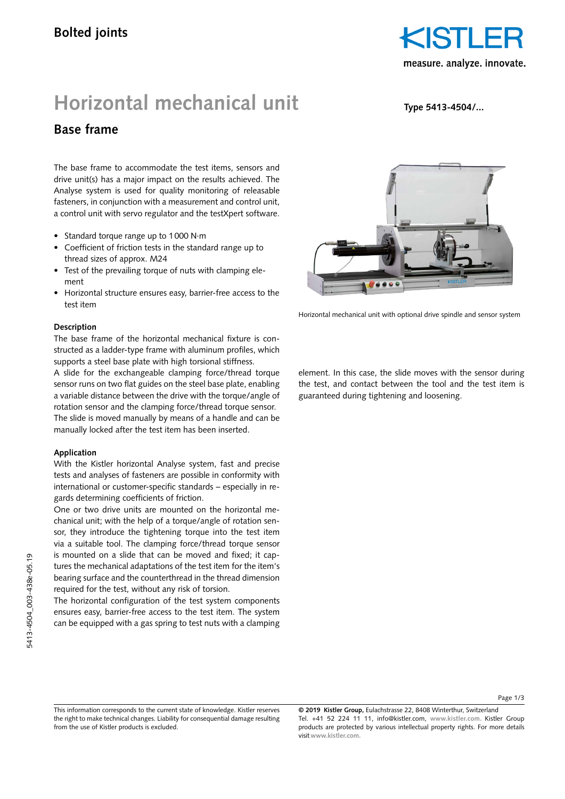

# **Horizontal mechanical unit**

**Type 5413-4504/...**

# **Base frame**

The base frame to accommodate the test items, sensors and drive unit(s) has a major impact on the results achieved. The Analyse system is used for quality monitoring of releasable fasteners, in conjunction with a measurement and control unit, a control unit with servo regulator and the testXpert software.

- Standard torque range up to 1000 N·m
- Coefficient of friction tests in the standard range up to thread sizes of approx. M24
- Test of the prevailing torque of nuts with clamping element
- Horizontal structure ensures easy, barrier-free access to the test item

#### **Description**

The base frame of the horizontal mechanical fixture is constructed as a ladder-type frame with aluminum profiles, which supports a steel base plate with high torsional stiffness.

A slide for the exchangeable clamping force/thread torque sensor runs on two flat guides on the steel base plate, enabling a variable distance between the drive with the torque/angle of rotation sensor and the clamping force/thread torque sensor. The slide is moved manually by means of a handle and can be manually locked after the test item has been inserted.

#### **Application**

With the Kistler horizontal Analyse system, fast and precise tests and analyses of fasteners are possible in conformity with international or customer-specific standards – especially in regards determining coefficients of friction.

One or two drive units are mounted on the horizontal mechanical unit; with the help of a torque/angle of rotation sensor, they introduce the tightening torque into the test item via a suitable tool. The clamping force/thread torque sensor is mounted on a slide that can be moved and fixed; it captures the mechanical adaptations of the test item for the item's bearing surface and the counterthread in the thread dimension required for the test, without any risk of torsion.

The horizontal configuration of the test system components ensures easy, barrier-free access to the test item. The system can be equipped with a gas spring to test nuts with a clamping



Horizontal mechanical unit with optional drive spindle and sensor system

element. In this case, the slide moves with the sensor during the test, and contact between the tool and the test item is guaranteed during tightening and loosening.

**© 2019 Kistler Group,** Eulachstrasse 22, 8408 Winterthur, Switzerland Tel. +41 52 224 11 11, info@kistler.com, **www.kistler.com.** Kistler Group products are protected by various intellectual property rights. For more details visit **www.kistler.com.**

This information corresponds to the current state of knowledge. Kistler reserves the right to make technical changes. Liability for consequential damage resulting from the use of Kistler products is excluded.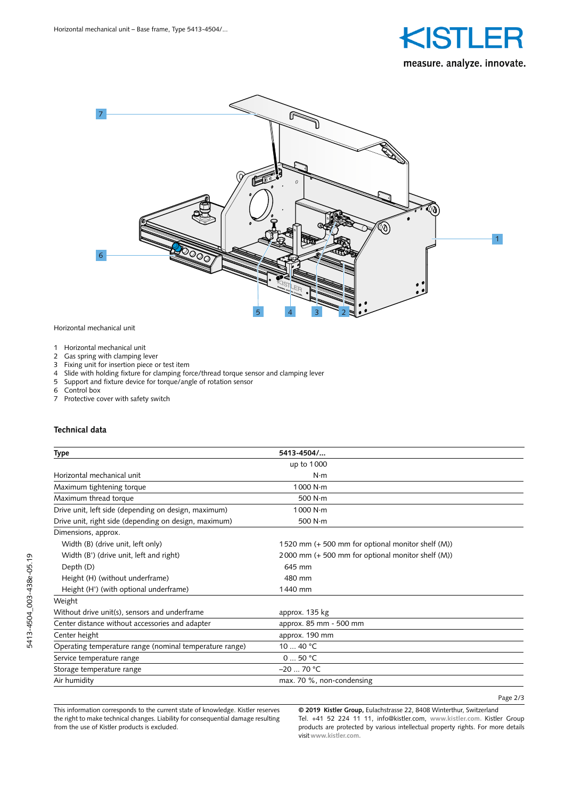



Horizontal mechanical unit

- 1 Horizontal mechanical unit<br>2 Gas spring with clamping le
- Gas spring with clamping lever
- 3 Fixing unit for insertion piece or test item<br>4 Slide with holding fixture for clamping for
- 4 Slide with holding fixture for clamping force/thread torque sensor and clamping lever
- 5 Support and fixture device for torque/angle of rotation sensor
- 6 Control box
- Protective cover with safety switch

#### **Technical data**

| Type                                                    | 5413-4504/                                        |  |
|---------------------------------------------------------|---------------------------------------------------|--|
|                                                         | up to 1000                                        |  |
| Horizontal mechanical unit                              | $N \cdot m$                                       |  |
| Maximum tightening torque                               | 1000 $N \cdot m$                                  |  |
| Maximum thread torque                                   | 500 N·m                                           |  |
| Drive unit, left side (depending on design, maximum)    | 1000 N·m                                          |  |
| Drive unit, right side (depending on design, maximum)   | 500 $N \cdot m$                                   |  |
| Dimensions, approx.                                     |                                                   |  |
| Width (B) (drive unit, left only)                       | 1520 mm (+ 500 mm for optional monitor shelf (M)) |  |
| Width (B') (drive unit, left and right)                 | 2000 mm (+ 500 mm for optional monitor shelf (M)) |  |
| Depth (D)                                               | 645 mm                                            |  |
| Height (H) (without underframe)                         | 480 mm                                            |  |
| Height (H') (with optional underframe)                  | 1440 mm                                           |  |
| Weight                                                  |                                                   |  |
| Without drive unit(s), sensors and underframe           | approx. 135 kg                                    |  |
| Center distance without accessories and adapter         | approx. 85 mm - 500 mm                            |  |
| Center height                                           | approx. 190 mm                                    |  |
| Operating temperature range (nominal temperature range) | 10 $\dots$ 40 °C                                  |  |
| Service temperature range                               | 050 °C                                            |  |
| Storage temperature range                               | $-2070 °C$                                        |  |
| Air humidity                                            | $max. 70 %$ , non-condensing                      |  |

This information corresponds to the current state of knowledge. Kistler reserves the right to make technical changes. Liability for consequential damage resulting from the use of Kistler products is excluded.

**© 2019 Kistler Group,** Eulachstrasse 22, 8408 Winterthur, Switzerland Tel. +41 52 224 11 11, info@kistler.com, **www.kistler.com.** Kistler Group products are protected by various intellectual property rights. For more details visit **www.kistler.com.**

Page 2/3